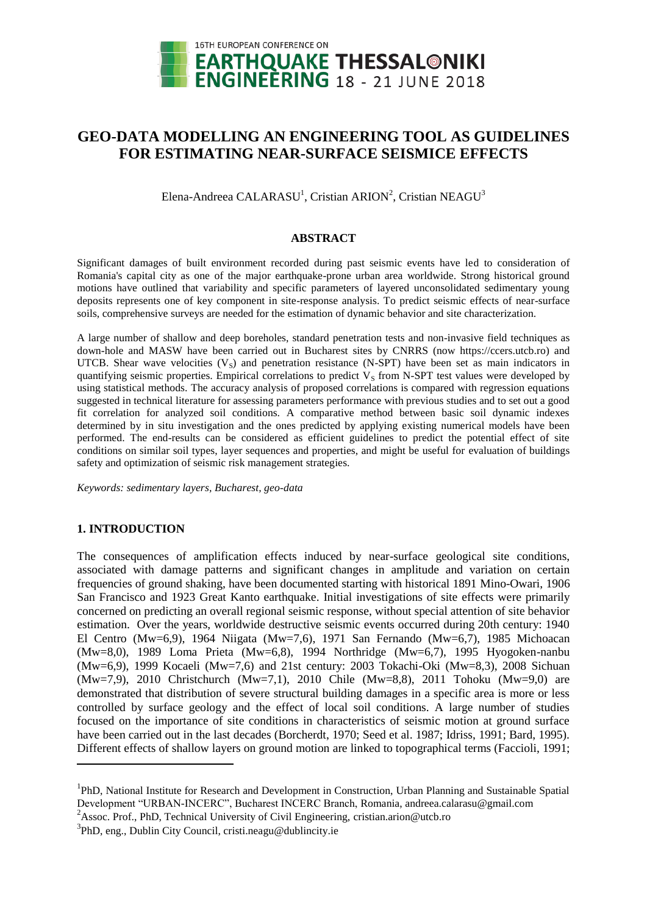

# **GEO-DATA MODELLING AN ENGINEERING TOOL AS GUIDELINES FOR ESTIMATING NEAR-SURFACE SEISMICE EFFECTS**

Elena-Andreea CALARASU<sup>1</sup>, Cristian ARION<sup>2</sup>, Cristian NEAGU<sup>3</sup>

## **ABSTRACT**

Significant damages of built environment recorded during past seismic events have led to consideration of Romania's capital city as one of the major earthquake-prone urban area worldwide. Strong historical ground motions have outlined that variability and specific parameters of layered unconsolidated sedimentary young deposits represents one of key component in site-response analysis. To predict seismic effects of near-surface soils, comprehensive surveys are needed for the estimation of dynamic behavior and site characterization.

A large number of shallow and deep boreholes, standard penetration tests and non-invasive field techniques as down-hole and MASW have been carried out in Bucharest sites by CNRRS (now https://ccers.utcb.ro) and UTCB. Shear wave velocities  $(V<sub>S</sub>)$  and penetration resistance (N-SPT) have been set as main indicators in quantifying seismic properties. Empirical correlations to predict  $V<sub>S</sub>$  from N-SPT test values were developed by using statistical methods. The accuracy analysis of proposed correlations is compared with regression equations suggested in technical literature for assessing parameters performance with previous studies and to set out a good fit correlation for analyzed soil conditions. A comparative method between basic soil dynamic indexes determined by in situ investigation and the ones predicted by applying existing numerical models have been performed. The end-results can be considered as efficient guidelines to predict the potential effect of site conditions on similar soil types, layer sequences and properties, and might be useful for evaluation of buildings safety and optimization of seismic risk management strategies.

*Keywords: sedimentary layers, Bucharest, geo-data*

# **1. INTRODUCTION**

 $\overline{a}$ 

The consequences of amplification effects induced by near-surface geological site conditions, associated with damage patterns and significant changes in amplitude and variation on certain frequencies of ground shaking, have been documented starting with historical 1891 Mino-Owari, 1906 San Francisco and 1923 Great Kanto earthquake. Initial investigations of site effects were primarily concerned on predicting an overall regional seismic response, without special attention of site behavior estimation. Over the years, worldwide destructive seismic events occurred during 20th century: 1940 El Centro (Mw=6,9), 1964 Niigata (Mw=7,6), 1971 San Fernando (Mw=6,7), 1985 Michoacan (Mw=8,0), 1989 Loma Prieta (Mw=6,8), 1994 Northridge (Mw=6,7), 1995 Hyogoken-nanbu (Mw=6,9), 1999 Kocaeli (Mw=7,6) and 21st century: 2003 Tokachi-Oki (Mw=8,3), 2008 Sichuan (Mw=7,9), 2010 Christchurch (Mw=7,1), 2010 Chile (Mw=8,8), 2011 Tohoku (Mw=9,0) are demonstrated that distribution of severe structural building damages in a specific area is more or less controlled by surface geology and the effect of local soil conditions. A large number of studies focused on the importance of site conditions in characteristics of seismic motion at ground surface have been carried out in the last decades (Borcherdt, 1970; Seed et al. 1987; Idriss, 1991; Bard, 1995). Different effects of shallow layers on ground motion are linked to topographical terms (Faccioli, 1991;

<sup>&</sup>lt;sup>1</sup>PhD, National Institute for Research and Development in Construction, Urban Planning and Sustainable Spatial Development "URBAN-INCERC", Bucharest INCERC Branch, Romania, andreea.calarasu@gmail.com

<sup>&</sup>lt;sup>2</sup>Assoc. Prof., PhD, Technical University of Civil Engineering, cristian.arion@utcb.ro

<sup>&</sup>lt;sup>3</sup>PhD, eng., Dublin City Council, cristi.neagu@dublincity.ie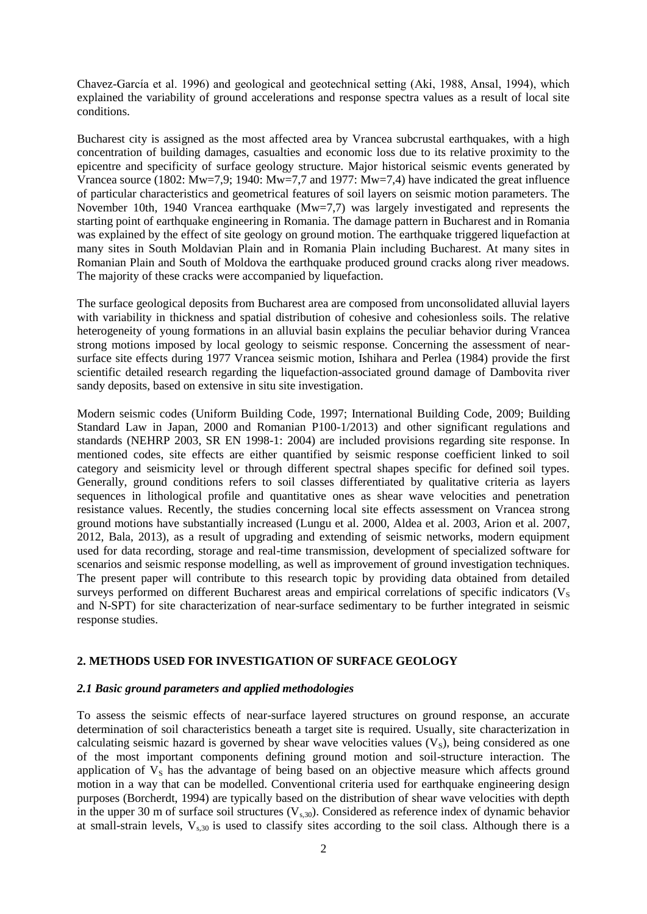Chavez-García et al. 1996) and geological and geotechnical setting (Aki, 1988, Ansal, 1994), which explained the variability of ground accelerations and response spectra values as a result of local site conditions.

Bucharest city is assigned as the most affected area by Vrancea subcrustal earthquakes, with a high concentration of building damages, casualties and economic loss due to its relative proximity to the epicentre and specificity of surface geology structure. Major historical seismic events generated by Vrancea source (1802: Mw=7,9; 1940: Mw=7,7 and 1977: Mw=7,4) have indicated the great influence of particular characteristics and geometrical features of soil layers on seismic motion parameters. The November 10th, 1940 Vrancea earthquake (Mw=7,7) was largely investigated and represents the starting point of earthquake engineering in Romania. The damage pattern in Bucharest and in Romania was explained by the effect of site geology on ground motion. The earthquake triggered liquefaction at many sites in South Moldavian Plain and in Romania Plain including Bucharest. At many sites in Romanian Plain and South of Moldova the earthquake produced ground cracks along river meadows. The majority of these cracks were accompanied by liquefaction.

The surface geological deposits from Bucharest area are composed from unconsolidated alluvial layers with variability in thickness and spatial distribution of cohesive and cohesionless soils. The relative heterogeneity of young formations in an alluvial basin explains the peculiar behavior during Vrancea strong motions imposed by local geology to seismic response. Concerning the assessment of nearsurface site effects during 1977 Vrancea seismic motion, Ishihara and Perlea (1984) provide the first scientific detailed research regarding the liquefaction-associated ground damage of Dambovita river sandy deposits, based on extensive in situ site investigation.

Modern seismic codes (Uniform Building Code, 1997; International Building Code, 2009; Building Standard Law in Japan, 2000 and Romanian P100-1/2013) and other significant regulations and standards (NEHRP 2003, SR EN 1998-1: 2004) are included provisions regarding site response. In mentioned codes, site effects are either quantified by seismic response coefficient linked to soil category and seismicity level or through different spectral shapes specific for defined soil types. Generally, ground conditions refers to soil classes differentiated by qualitative criteria as layers sequences in lithological profile and quantitative ones as shear wave velocities and penetration resistance values. Recently, the studies concerning local site effects assessment on Vrancea strong ground motions have substantially increased (Lungu et al. 2000, Aldea et al. 2003, Arion et al. 2007, 2012, Bala, 2013), as a result of upgrading and extending of seismic networks, modern equipment used for data recording, storage and real-time transmission, development of specialized software for scenarios and seismic response modelling, as well as improvement of ground investigation techniques. The present paper will contribute to this research topic by providing data obtained from detailed surveys performed on different Bucharest areas and empirical correlations of specific indicators  $(V<sub>S</sub>)$ and N-SPT) for site characterization of near-surface sedimentary to be further integrated in seismic response studies.

# **2. METHODS USED FOR INVESTIGATION OF SURFACE GEOLOGY**

# *2.1 Basic ground parameters and applied methodologies*

To assess the seismic effects of near-surface layered structures on ground response, an accurate determination of soil characteristics beneath a target site is required. Usually, site characterization in calculating seismic hazard is governed by shear wave velocities values  $(V_s)$ , being considered as one of the most important components defining ground motion and soil-structure interaction. The application of  $V_s$  has the advantage of being based on an objective measure which affects ground motion in a way that can be modelled. Conventional criteria used for earthquake engineering design purposes (Borcherdt, 1994) are typically based on the distribution of shear wave velocities with depth in the upper 30 m of surface soil structures  $(V_{s,30})$ . Considered as reference index of dynamic behavior at small-strain levels,  $V_{s,30}$  is used to classify sites according to the soil class. Although there is a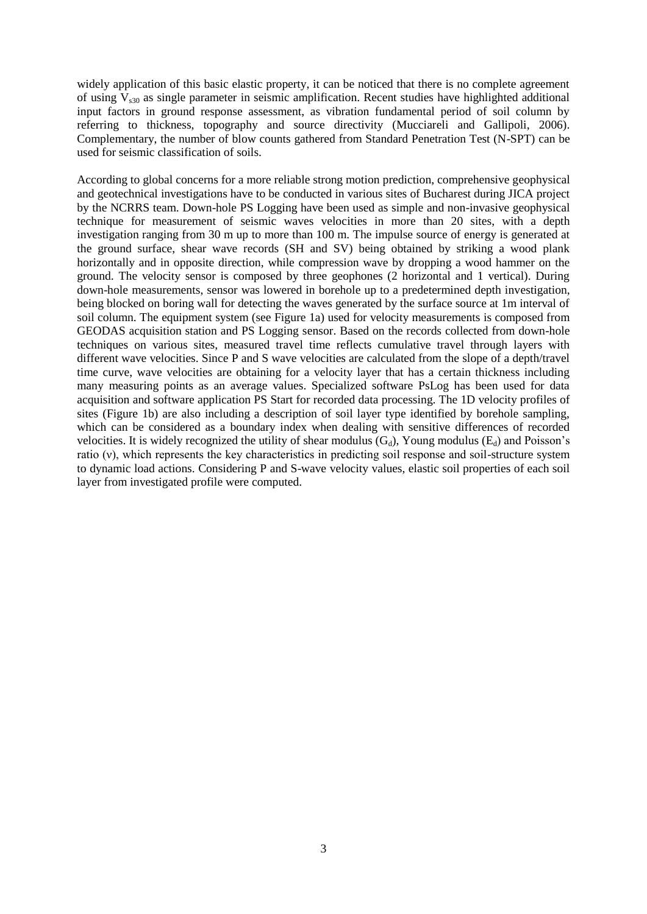widely application of this basic elastic property, it can be noticed that there is no complete agreement of using  $V_{s30}$  as single parameter in seismic amplification. Recent studies have highlighted additional input factors in ground response assessment, as vibration fundamental period of soil column by referring to thickness, topography and source directivity (Mucciareli and Gallipoli, 2006). Complementary, the number of blow counts gathered from Standard Penetration Test (N-SPT) can be used for seismic classification of soils.

According to global concerns for a more reliable strong motion prediction, comprehensive geophysical and geotechnical investigations have to be conducted in various sites of Bucharest during JICA project by the NCRRS team. Down-hole PS Logging have been used as simple and non-invasive geophysical technique for measurement of seismic waves velocities in more than 20 sites, with a depth investigation ranging from 30 m up to more than 100 m. The impulse source of energy is generated at the ground surface, shear wave records (SH and SV) being obtained by striking a wood plank horizontally and in opposite direction, while compression wave by dropping a wood hammer on the ground. The velocity sensor is composed by three geophones (2 horizontal and 1 vertical). During down-hole measurements, sensor was lowered in borehole up to a predetermined depth investigation, being blocked on boring wall for detecting the waves generated by the surface source at 1m interval of soil column. The equipment system (see Figure 1a) used for velocity measurements is composed from GEODAS acquisition station and PS Logging sensor. Based on the records collected from down-hole techniques on various sites, measured travel time reflects cumulative travel through layers with different wave velocities. Since P and S wave velocities are calculated from the slope of a depth/travel time curve, wave velocities are obtaining for a velocity layer that has a certain thickness including many measuring points as an average values. Specialized software PsLog has been used for data acquisition and software application PS Start for recorded data processing. The 1D velocity profiles of sites (Figure 1b) are also including a description of soil layer type identified by borehole sampling, which can be considered as a boundary index when dealing with sensitive differences of recorded velocities. It is widely recognized the utility of shear modulus  $(G_d)$ , Young modulus  $(E_d)$  and Poisson's ratio (ν), which represents the key characteristics in predicting soil response and soil-structure system to dynamic load actions. Considering P and S-wave velocity values, elastic soil properties of each soil layer from investigated profile were computed.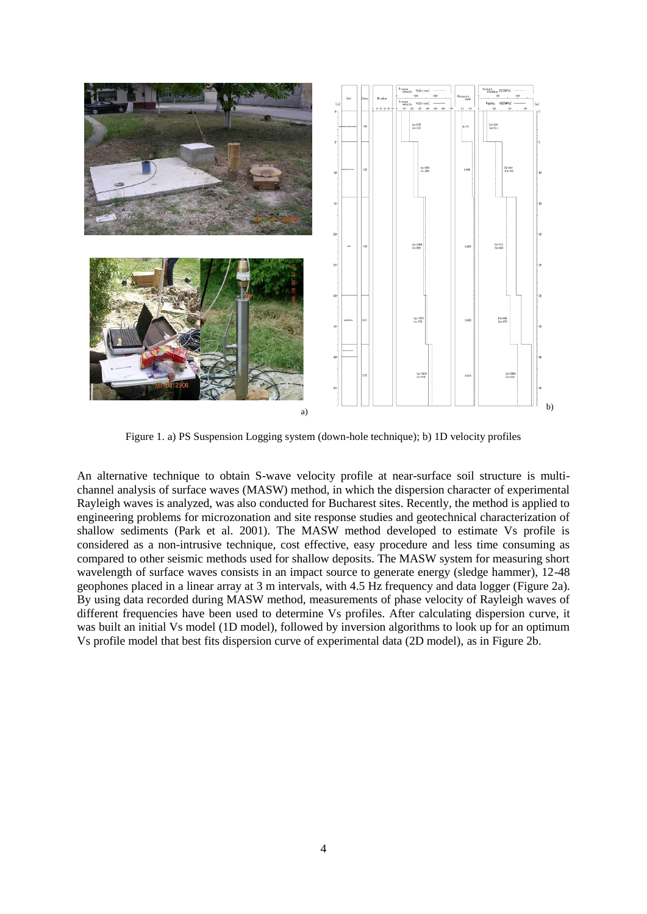

Figure 1. a) PS Suspension Logging system (down-hole technique); b) 1D velocity profiles

An alternative technique to obtain S-wave velocity profile at near-surface soil structure is multichannel analysis of surface waves (MASW) method, in which the dispersion character of experimental Rayleigh waves is analyzed, was also conducted for Bucharest sites. Recently, the method is applied to engineering problems for microzonation and site response studies and geotechnical characterization of shallow sediments (Park et al. 2001). The MASW method developed to estimate Vs profile is considered as a non-intrusive technique, cost effective, easy procedure and less time consuming as compared to other seismic methods used for shallow deposits. The MASW system for measuring short wavelength of surface waves consists in an impact source to generate energy (sledge hammer), 12-48 geophones placed in a linear array at 3 m intervals, with 4.5 Hz frequency and data logger (Figure 2a). By using data recorded during MASW method, measurements of phase velocity of Rayleigh waves of different frequencies have been used to determine Vs profiles. After calculating dispersion curve, it was built an initial Vs model (1D model), followed by inversion algorithms to look up for an optimum Vs profile model that best fits dispersion curve of experimental data (2D model), as in Figure 2b.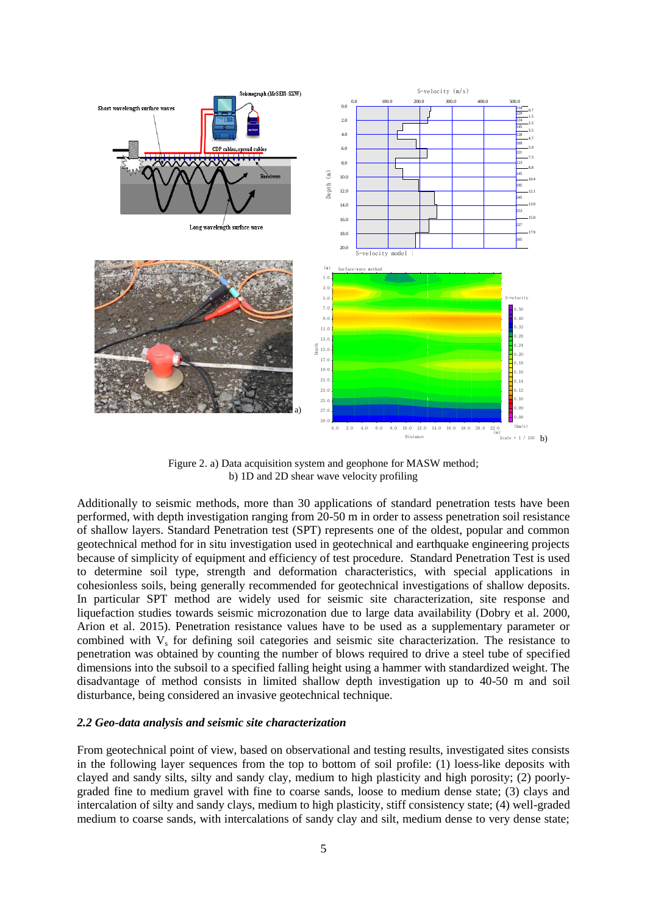

Figure 2. a) Data acquisition system and geophone for MASW method; b) 1D and 2D shear wave velocity profiling

Additionally to seismic methods, more than 30 applications of standard penetration tests have been performed, with depth investigation ranging from 20-50 m in order to assess penetration soil resistance of shallow layers. Standard Penetration test (SPT) represents one of the oldest, popular and common geotechnical method for in situ investigation used in geotechnical and earthquake engineering projects because of simplicity of equipment and efficiency of test procedure. Standard Penetration Test is used to determine soil type, strength and deformation characteristics, with special applications in cohesionless soils, being generally recommended for geotechnical investigations of shallow deposits. In particular SPT method are widely used for seismic site characterization, site response and liquefaction studies towards seismic microzonation due to large data availability (Dobry et al. 2000, Arion et al. 2015). Penetration resistance values have to be used as a supplementary parameter or combined with  $V_s$  for defining soil categories and seismic site characterization. The resistance to penetration was obtained by counting the number of blows required to drive a steel tube of specified dimensions into the subsoil to a specified falling height using a hammer with standardized weight. The disadvantage of method consists in limited shallow depth investigation up to 40-50 m and soil disturbance, being considered an invasive geotechnical technique.

#### *2.2 Geo-data analysis and seismic site characterization*

From geotechnical point of view, based on observational and testing results, investigated sites consists in the following layer sequences from the top to bottom of soil profile: (1) loess-like deposits with clayed and sandy silts, silty and sandy clay, medium to high plasticity and high porosity; (2) poorlygraded fine to medium gravel with fine to coarse sands, loose to medium dense state; (3) clays and intercalation of silty and sandy clays, medium to high plasticity, stiff consistency state; (4) well-graded medium to coarse sands, with intercalations of sandy clay and silt, medium dense to very dense state;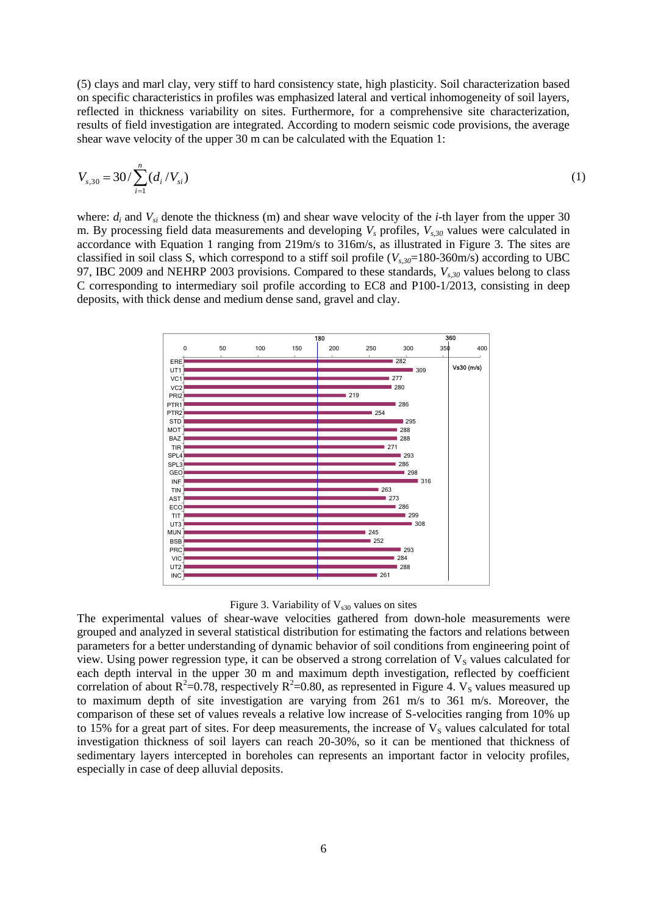(5) clays and marl clay, very stiff to hard consistency state, high plasticity. Soil characterization based on specific characteristics in profiles was emphasized lateral and vertical inhomogeneity of soil layers, reflected in thickness variability on sites. Furthermore, for a comprehensive site characterization, results of field investigation are integrated. According to modern seismic code provisions, the average shear wave velocity of the upper 30 m can be calculated with the Equation 1:

$$
V_{s,30} = 30 / \sum_{i=1}^{n} (d_i / V_{si})
$$
 (1)

where:  $d_i$  and  $V_{si}$  denote the thickness (m) and shear wave velocity of the *i*-th layer from the upper 30 m. By processing field data measurements and developing *V<sup>s</sup>* profiles, *Vs,30* values were calculated in accordance with Equation 1 ranging from 219m/s to 316m/s, as illustrated in Figure 3. The sites are classified in soil class S, which correspond to a stiff soil profile  $(V_{s,30}=180-360$ m/s) according to UBC 97, IBC 2009 and NEHRP 2003 provisions. Compared to these standards, *Vs,30* values belong to class C corresponding to intermediary soil profile according to EC8 and P100-1/2013, consisting in deep deposits, with thick dense and medium dense sand, gravel and clay.





The experimental values of shear-wave velocities gathered from down-hole measurements were grouped and analyzed in several statistical distribution for estimating the factors and relations between parameters for a better understanding of dynamic behavior of soil conditions from engineering point of view. Using power regression type, it can be observed a strong correlation of  $V_s$  values calculated for each depth interval in the upper 30 m and maximum depth investigation, reflected by coefficient correlation of about  $R^2$ =0.78, respectively  $R^2$ =0.80, as represented in Figure 4. V<sub>s</sub> values measured up to maximum depth of site investigation are varying from 261 m/s to 361 m/s. Moreover, the comparison of these set of values reveals a relative low increase of S-velocities ranging from 10% up to 15% for a great part of sites. For deep measurements, the increase of  $V<sub>S</sub>$  values calculated for total investigation thickness of soil layers can reach 20-30%, so it can be mentioned that thickness of sedimentary layers intercepted in boreholes can represents an important factor in velocity profiles, especially in case of deep alluvial deposits.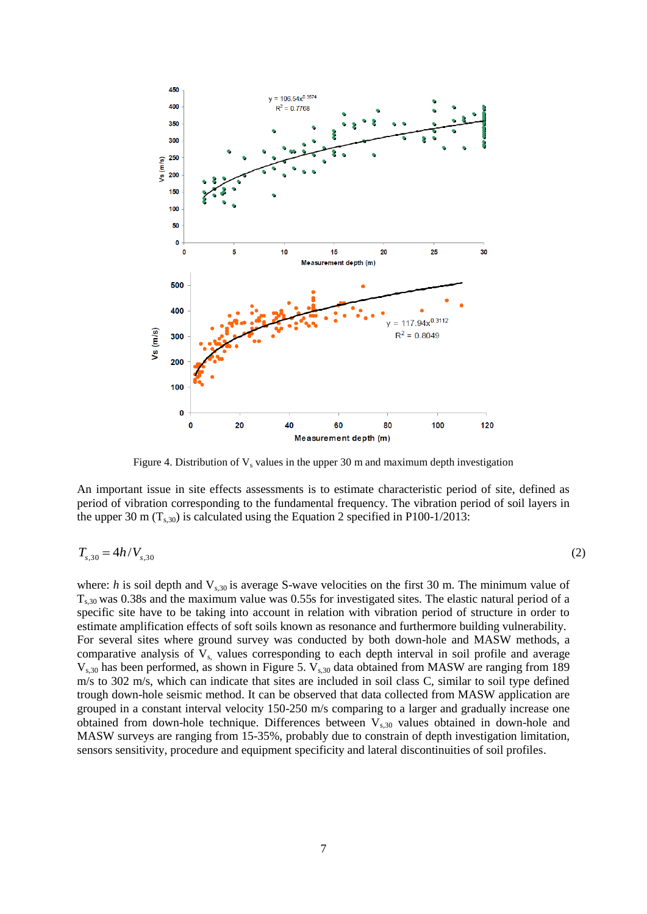

Figure 4. Distribution of  $V_s$  values in the upper 30 m and maximum depth investigation

An important issue in site effects assessments is to estimate characteristic period of site, defined as period of vibration corresponding to the fundamental frequency. The vibration period of soil layers in the upper 30 m  $(T<sub>s30</sub>)$  is calculated using the Equation 2 specified in P100-1/2013:

$$
T_{s,30} = 4h/V_{s,30} \tag{2}
$$

where: *h* is soil depth and  $V_{s,30}$  is average S-wave velocities on the first 30 m. The minimum value of  $T_{s,30}$  was 0.38s and the maximum value was 0.55s for investigated sites. The elastic natural period of a specific site have to be taking into account in relation with vibration period of structure in order to estimate amplification effects of soft soils known as resonance and furthermore building vulnerability. For several sites where ground survey was conducted by both down-hole and MASW methods, a comparative analysis of  $V_s$ , values corresponding to each depth interval in soil profile and average  $V<sub>s,30</sub>$  has been performed, as shown in Figure 5.  $V<sub>s,30</sub>$  data obtained from MASW are ranging from 189 m/s to 302 m/s, which can indicate that sites are included in soil class C, similar to soil type defined trough down-hole seismic method. It can be observed that data collected from MASW application are grouped in a constant interval velocity 150-250 m/s comparing to a larger and gradually increase one obtained from down-hole technique. Differences between  $V_{s,30}$  values obtained in down-hole and MASW surveys are ranging from 15-35%, probably due to constrain of depth investigation limitation, sensors sensitivity, procedure and equipment specificity and lateral discontinuities of soil profiles.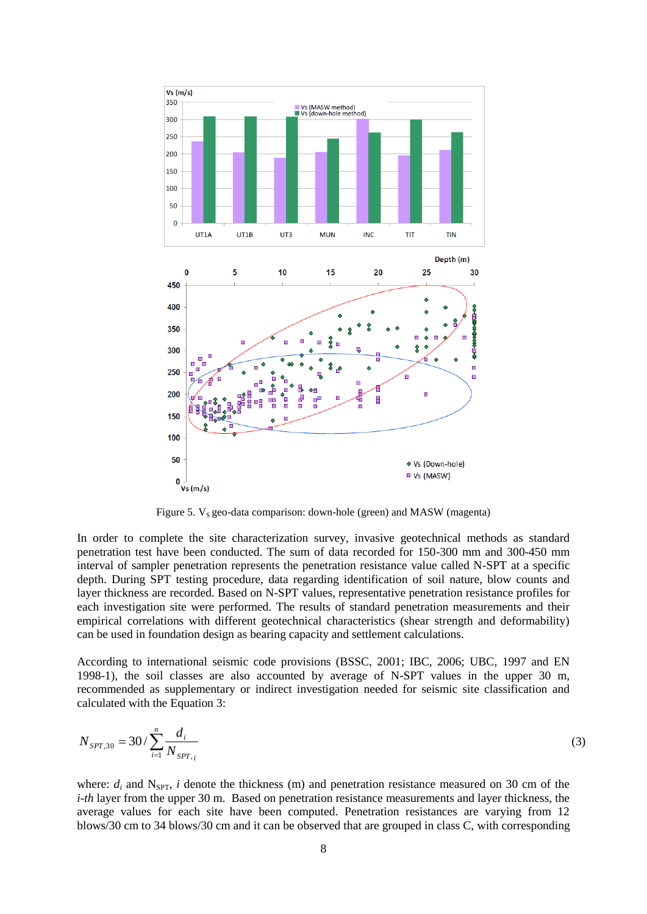

Figure 5.  $V_s$  geo-data comparison: down-hole (green) and MASW (magenta)

In order to complete the site characterization survey, invasive geotechnical methods as standard penetration test have been conducted. The sum of data recorded for 150-300 mm and 300-450 mm interval of sampler penetration represents the penetration resistance value called N-SPT at a specific depth. During SPT testing procedure, data regarding identification of soil nature, blow counts and layer thickness are recorded. Based on N-SPT values, representative penetration resistance profiles for each investigation site were performed. The results of standard penetration measurements and their empirical correlations with different geotechnical characteristics (shear strength and deformability) can be used in foundation design as bearing capacity and settlement calculations.

According to international seismic code provisions (BSSC, 2001; IBC, 2006; UBC, 1997 and EN 1998-1), the soil classes are also accounted by average of N-SPT values in the upper 30 m, recommended as supplementary or indirect investigation needed for seismic site classification and calculated with the Equation 3:

$$
N_{SPT,30} = 30 / \sum_{i=1}^{n} \frac{d_i}{N_{SPT,i}}
$$
 (3)

where:  $d_i$  and N<sub>SPT</sub>, *i* denote the thickness (m) and penetration resistance measured on 30 cm of the *i-th* layer from the upper 30 m. Based on penetration resistance measurements and layer thickness, the average values for each site have been computed. Penetration resistances are varying from 12 blows/30 cm to 34 blows/30 cm and it can be observed that are grouped in class C, with corresponding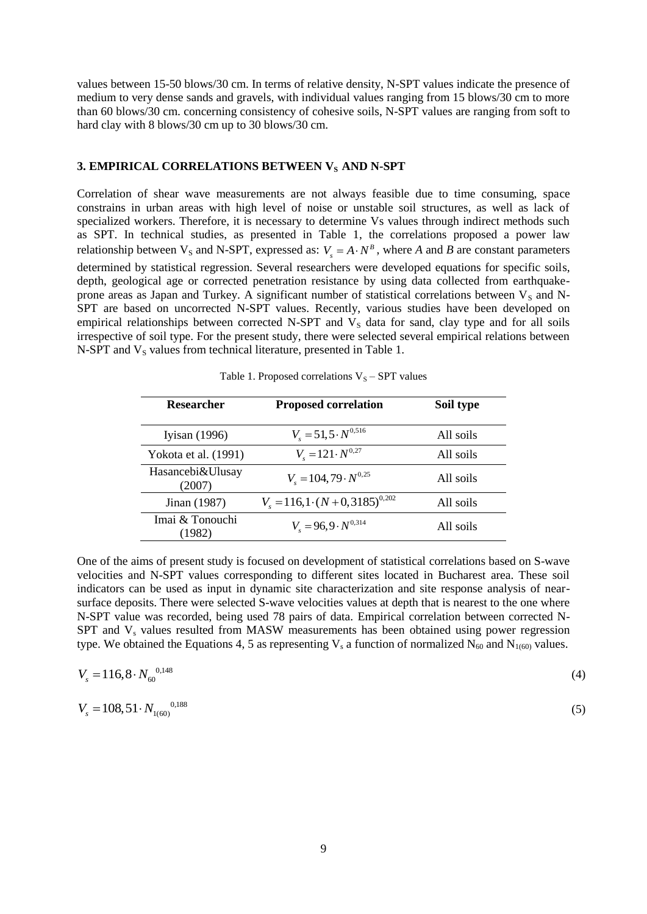values between 15-50 blows/30 cm. In terms of relative density, N-SPT values indicate the presence of medium to very dense sands and gravels, with individual values ranging from 15 blows/30 cm to more than 60 blows/30 cm. concerning consistency of cohesive soils, N-SPT values are ranging from soft to hard clay with 8 blows/30 cm up to 30 blows/30 cm.

## **3. EMPIRICAL CORRELATIONS BETWEEN V<sub>S</sub> AND N-SPT**

Correlation of shear wave measurements are not always feasible due to time consuming, space constrains in urban areas with high level of noise or unstable soil structures, as well as lack of specialized workers. Therefore, it is necessary to determine Vs values through indirect methods such as SPT. In technical studies, as presented in Table 1, the correlations proposed a power law relationship between  $V_s$  and N-SPT, expressed as:  $V_s = A \cdot N^B$ , where *A* and *B* are constant parameters determined by statistical regression. Several researchers were developed equations for specific soils, depth, geological age or corrected penetration resistance by using data collected from earthquakeprone areas as Japan and Turkey. A significant number of statistical correlations between  $V_S$  and N-SPT are based on uncorrected N-SPT values. Recently, various studies have been developed on empirical relationships between corrected N-SPT and  $V_s$  data for sand, clay type and for all soils irrespective of soil type. For the present study, there were selected several empirical relations between N-SPT and  $V<sub>S</sub>$  values from technical literature, presented in Table 1.

| <b>Researcher</b>          | <b>Proposed correlation</b>               | Soil type |
|----------------------------|-------------------------------------------|-----------|
| Iyisan $(1996)$            | $V_s = 51, 5 \cdot N^{0,516}$             | All soils |
| Yokota et al. (1991)       | $V_s = 121 \cdot N^{0.27}$                | All soils |
| Hasancebi&Ulusay<br>(2007) | $V_{s} = 104,79 \cdot N^{0.25}$           | All soils |
| Jinan (1987)               | $V_s = 116, 1 \cdot (N + 0.3185)^{0.202}$ | All soils |
| Imai & Tonouchi<br>(1982)  | $V_s = 96.9 \cdot N^{0.314}$              | All soils |

Table 1. Proposed correlations  $V_S - SPT$  values

One of the aims of present study is focused on development of statistical correlations based on S-wave velocities and N-SPT values corresponding to different sites located in Bucharest area. These soil indicators can be used as input in dynamic site characterization and site response analysis of nearsurface deposits. There were selected S-wave velocities values at depth that is nearest to the one where N-SPT value was recorded, being used 78 pairs of data. Empirical correlation between corrected N- $SPT$  and  $V_s$  values resulted from MASW measurements has been obtained using power regression type. We obtained the Equations 4, 5 as representing  $V_s$  a function of normalized  $N_{60}$  and  $N_{1(60)}$  values.

$$
V_s = 116,8 \cdot N_{60}^{0,148} \tag{4}
$$

$$
V_s = 108,51 \cdot N_{1(60)}^{\qquad 0,188}
$$

(5)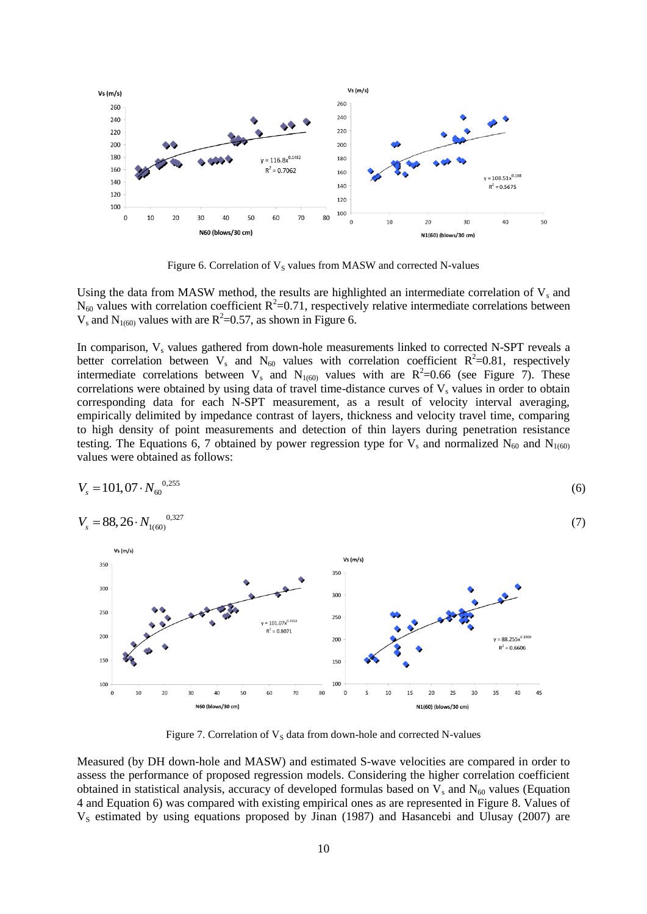

Figure 6. Correlation of  $V_S$  values from MASW and corrected N-values

Using the data from MASW method, the results are highlighted an intermediate correlation of  $V_s$  and  $N_{60}$  values with correlation coefficient  $R^2$ =0.71, respectively relative intermediate correlations between  $V_s$  and  $N_{1(60)}$  values with are  $R^2=0.57$ , as shown in Figure 6.

In comparison,  $V_s$  values gathered from down-hole measurements linked to corrected N-SPT reveals a better correlation between  $V_s$  and  $N_{60}$  values with correlation coefficient  $R^2=0.81$ , respectively intermediate correlations between  $V_s$  and  $N_{1(60)}$  values with are  $R^2=0.66$  (see Figure 7). These correlations were obtained by using data of travel time-distance curves of  $V_s$  values in order to obtain corresponding data for each N-SPT measurement, as a result of velocity interval averaging, empirically delimited by impedance contrast of layers, thickness and velocity travel time, comparing to high density of point measurements and detection of thin layers during penetration resistance testing. The Equations 6, 7 obtained by power regression type for  $V_s$  and normalized  $N_{60}$  and  $N_{1(60)}$ values were obtained as follows:

$$
V_s = 101,07 \cdot N_{60}^{0,255}
$$
\n
$$
V_s = 88,26 \cdot N_{1(60)}^{0,327}
$$
\n(7)



Figure 7. Correlation of  $V_s$  data from down-hole and corrected N-values

Measured (by DH down-hole and MASW) and estimated S-wave velocities are compared in order to assess the performance of proposed regression models. Considering the higher correlation coefficient obtained in statistical analysis, accuracy of developed formulas based on  $V_s$  and  $N_{60}$  values (Equation 4 and Equation 6) was compared with existing empirical ones as are represented in Figure 8. Values of  $V<sub>S</sub>$  estimated by using equations proposed by Jinan (1987) and Hasancebi and Ulusay (2007) are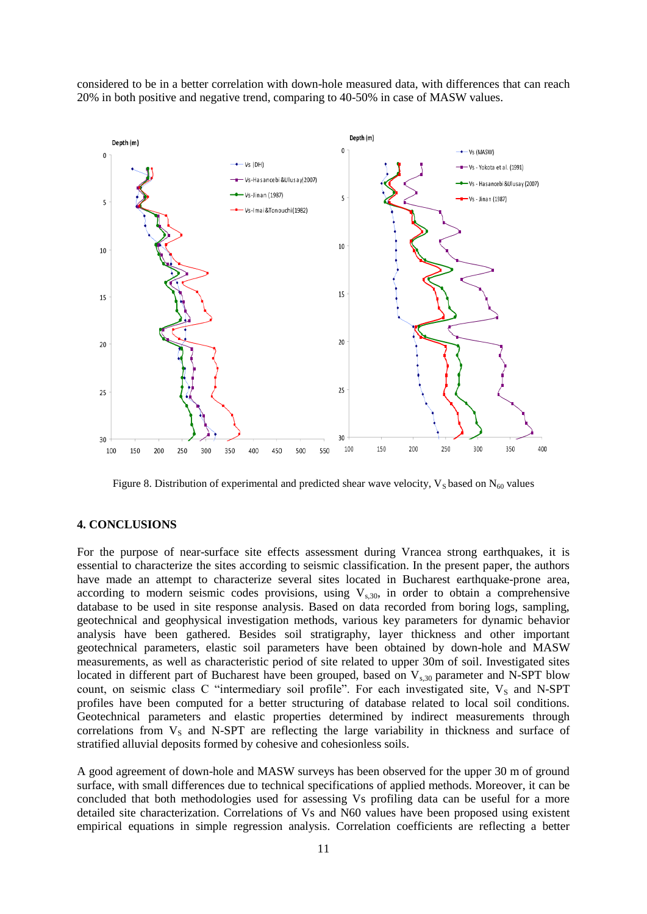considered to be in a better correlation with down-hole measured data, with differences that can reach 20% in both positive and negative trend, comparing to 40-50% in case of MASW values.



Figure 8. Distribution of experimental and predicted shear wave velocity,  $V_S$  based on  $N_{60}$  values

## **4. CONCLUSIONS**

For the purpose of near-surface site effects assessment during Vrancea strong earthquakes, it is essential to characterize the sites according to seismic classification. In the present paper, the authors have made an attempt to characterize several sites located in Bucharest earthquake-prone area, according to modern seismic codes provisions, using  $V_{s,30}$ , in order to obtain a comprehensive database to be used in site response analysis. Based on data recorded from boring logs, sampling, geotechnical and geophysical investigation methods, various key parameters for dynamic behavior analysis have been gathered. Besides soil stratigraphy, layer thickness and other important geotechnical parameters, elastic soil parameters have been obtained by down-hole and MASW measurements, as well as characteristic period of site related to upper 30m of soil. Investigated sites located in different part of Bucharest have been grouped, based on  $V_{s,30}$  parameter and N-SPT blow count, on seismic class C "intermediary soil profile". For each investigated site, V<sub>S</sub> and N-SPT profiles have been computed for a better structuring of database related to local soil conditions. Geotechnical parameters and elastic properties determined by indirect measurements through correlations from  $V_s$  and N-SPT are reflecting the large variability in thickness and surface of stratified alluvial deposits formed by cohesive and cohesionless soils.

A good agreement of down-hole and MASW surveys has been observed for the upper 30 m of ground surface, with small differences due to technical specifications of applied methods. Moreover, it can be concluded that both methodologies used for assessing Vs profiling data can be useful for a more detailed site characterization. Correlations of Vs and N60 values have been proposed using existent empirical equations in simple regression analysis. Correlation coefficients are reflecting a better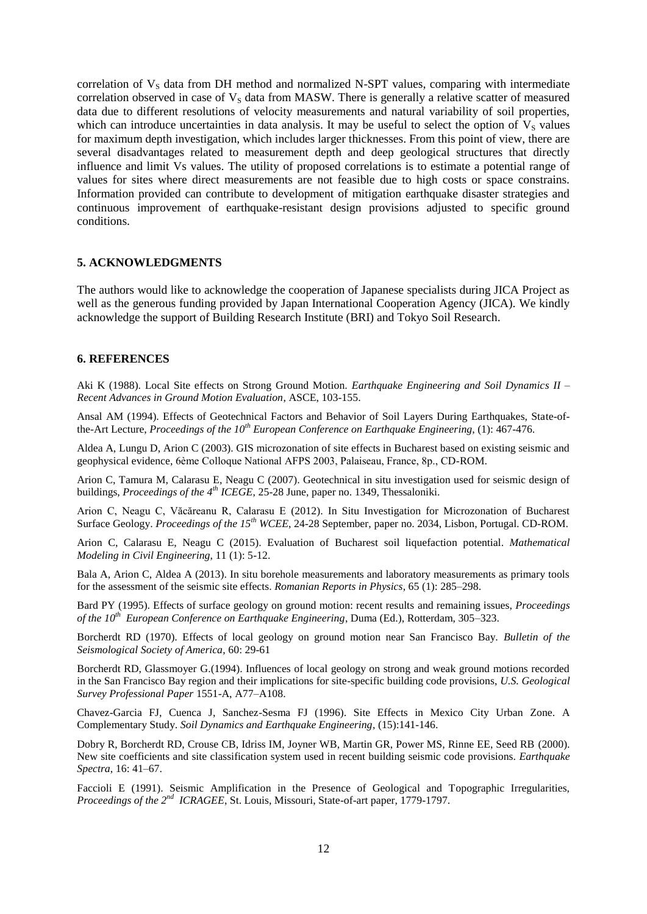correlation of  $V<sub>S</sub>$  data from DH method and normalized N-SPT values, comparing with intermediate correlation observed in case of  $V<sub>S</sub>$  data from MASW. There is generally a relative scatter of measured data due to different resolutions of velocity measurements and natural variability of soil properties, which can introduce uncertainties in data analysis. It may be useful to select the option of  $V_s$  values for maximum depth investigation, which includes larger thicknesses. From this point of view, there are several disadvantages related to measurement depth and deep geological structures that directly influence and limit Vs values. The utility of proposed correlations is to estimate a potential range of values for sites where direct measurements are not feasible due to high costs or space constrains. Information provided can contribute to development of mitigation earthquake disaster strategies and continuous improvement of earthquake-resistant design provisions adjusted to specific ground conditions.

## **5. ACKNOWLEDGMENTS**

The authors would like to acknowledge the cooperation of Japanese specialists during JICA Project as well as the generous funding provided by Japan International Cooperation Agency (JICA). We kindly acknowledge the support of Building Research Institute (BRI) and Tokyo Soil Research.

## **6. REFERENCES**

Aki K (1988). Local Site effects on Strong Ground Motion. *Earthquake Engineering and Soil Dynamics II – Recent Advances in Ground Motion Evaluation*, ASCE, 103-155.

Ansal AM (1994). Effects of Geotechnical Factors and Behavior of Soil Layers During Earthquakes, State-ofthe-Art Lecture, *Proceedings of the 10th European Conference on Earthquake Engineering*, (1): 467-476.

Aldea A, Lungu D, Arion C (2003). GIS microzonation of site effects in Bucharest based on existing seismic and geophysical evidence, 6ème Colloque National AFPS 2003, Palaiseau, France, 8p., CD-ROM.

Arion C, Tamura M, Calarasu E, Neagu C (2007). Geotechnical in situ investigation used for seismic design of buildings, *Proceedings of the 4th ICEGE*, 25-28 June, paper no. 1349, Thessaloniki.

Arion C, Neagu C, Văcăreanu R, Calarasu E (2012). In Situ Investigation for Microzonation of Bucharest Surface Geology. *Proceedings of the 15th WCEE*, 24-28 September, paper no. 2034, Lisbon, Portugal. CD-ROM.

Arion C, Calarasu E, Neagu C (2015). Evaluation of Bucharest soil liquefaction potential. *Mathematical Modeling in Civil Engineering*, 11 (1): 5-12.

Bala A, Arion C, Aldea A (2013). In situ borehole measurements and laboratory measurements as primary tools for the assessment of the seismic site effects. *Romanian Reports in Physics*, 65 (1): 285–298.

Bard PY (1995). Effects of surface geology on ground motion: recent results and remaining issues, *Proceedings of the 10th European Conference on Earthquake Engineering*, Duma (Ed.), Rotterdam, 305–323.

Borcherdt RD (1970). Effects of local geology on ground motion near San Francisco Bay. *Bulletin of the Seismological Society of America*, 60: 29-61

Borcherdt RD, Glassmoyer G.(1994). Influences of local geology on strong and weak ground motions recorded in the San Francisco Bay region and their implications for site-specific building code provisions, *U.S. Geological Survey Professional Paper* 1551-A, A77–A108.

Chavez-Garcia FJ, Cuenca J, Sanchez-Sesma FJ (1996). Site Effects in Mexico City Urban Zone. A Complementary Study. *Soil Dynamics and Earthquake Engineering*, (15):141-146.

Dobry R, Borcherdt RD, Crouse CB, Idriss IM, Joyner WB, Martin GR, Power MS, Rinne EE, Seed RB (2000). New site coefficients and site classification system used in recent building seismic code provisions. *Earthquake Spectra*, 16: 41–67.

Faccioli E (1991). Seismic Amplification in the Presence of Geological and Topographic Irregularities, *Proceedings of the 2nd ICRAGEE*, St. Louis, Missouri, State-of-art paper, 1779-1797.